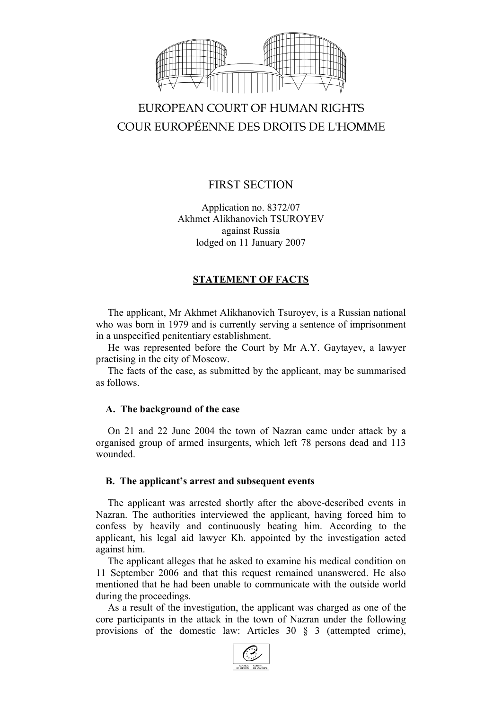

# EUROPEAN COURT OF HUMAN RIGHTS COUR EUROPÉENNE DES DROITS DE L'HOMME

## FIRST SECTION

Application no. 8372/07 Akhmet Alikhanovich TSUROYEV against Russia lodged on 11 January 2007

### **STATEMENT OF FACTS**

The applicant, Mr Akhmet Alikhanovich Tsuroyev, is a Russian national who was born in 1979 and is currently serving a sentence of imprisonment in a unspecified penitentiary establishment.

He was represented before the Court by Mr A.Y. Gaytayev, a lawyer practising in the city of Moscow.

The facts of the case, as submitted by the applicant, may be summarised as follows.

#### **A. The background of the case**

On 21 and 22 June 2004 the town of Nazran came under attack by a organised group of armed insurgents, which left 78 persons dead and 113 wounded.

#### **B. The applicant's arrest and subsequent events**

The applicant was arrested shortly after the above-described events in Nazran. The authorities interviewed the applicant, having forced him to confess by heavily and continuously beating him. According to the applicant, his legal aid lawyer Kh. appointed by the investigation acted against him.

The applicant alleges that he asked to examine his medical condition on 11 September 2006 and that this request remained unanswered. He also mentioned that he had been unable to communicate with the outside world during the proceedings.

As a result of the investigation, the applicant was charged as one of the core participants in the attack in the town of Nazran under the following provisions of the domestic law: Articles 30 § 3 (attempted crime),

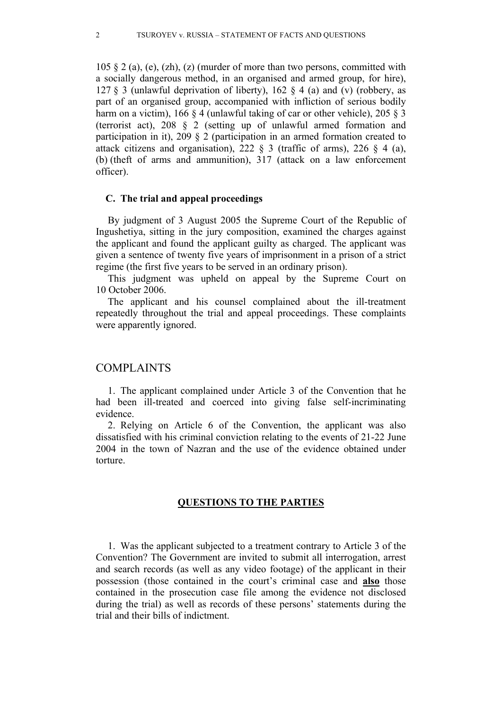105  $\S$  2 (a), (e), (zh), (z) (murder of more than two persons, committed with a socially dangerous method, in an organised and armed group, for hire), 127 § 3 (unlawful deprivation of liberty), 162 § 4 (a) and (v) (robbery, as part of an organised group, accompanied with infliction of serious bodily harm on a victim), 166 § 4 (unlawful taking of car or other vehicle), 205 § 3 (terrorist act), 208 § 2 (setting up of unlawful armed formation and participation in it), 209 § 2 (participation in an armed formation created to attack citizens and organisation), 222  $\&$  3 (traffic of arms), 226  $\&$  4 (a), (b) (theft of arms and ammunition), 317 (attack on a law enforcement officer).

#### **C. The trial and appeal proceedings**

By judgment of 3 August 2005 the Supreme Court of the Republic of Ingushetiya, sitting in the jury composition, examined the charges against the applicant and found the applicant guilty as charged. The applicant was given a sentence of twenty five years of imprisonment in a prison of a strict regime (the first five years to be served in an ordinary prison).

This judgment was upheld on appeal by the Supreme Court on 10 October 2006.

The applicant and his counsel complained about the ill-treatment repeatedly throughout the trial and appeal proceedings. These complaints were apparently ignored.

#### COMPLAINTS

1. The applicant complained under Article 3 of the Convention that he had been ill-treated and coerced into giving false self-incriminating evidence.

2. Relying on Article 6 of the Convention, the applicant was also dissatisfied with his criminal conviction relating to the events of 21-22 June 2004 in the town of Nazran and the use of the evidence obtained under torture.

#### **QUESTIONS TO THE PARTIES**

1. Was the applicant subjected to a treatment contrary to Article 3 of the Convention? The Government are invited to submit all interrogation, arrest and search records (as well as any video footage) of the applicant in their possession (those contained in the court's criminal case and **also** those contained in the prosecution case file among the evidence not disclosed during the trial) as well as records of these persons' statements during the trial and their bills of indictment.